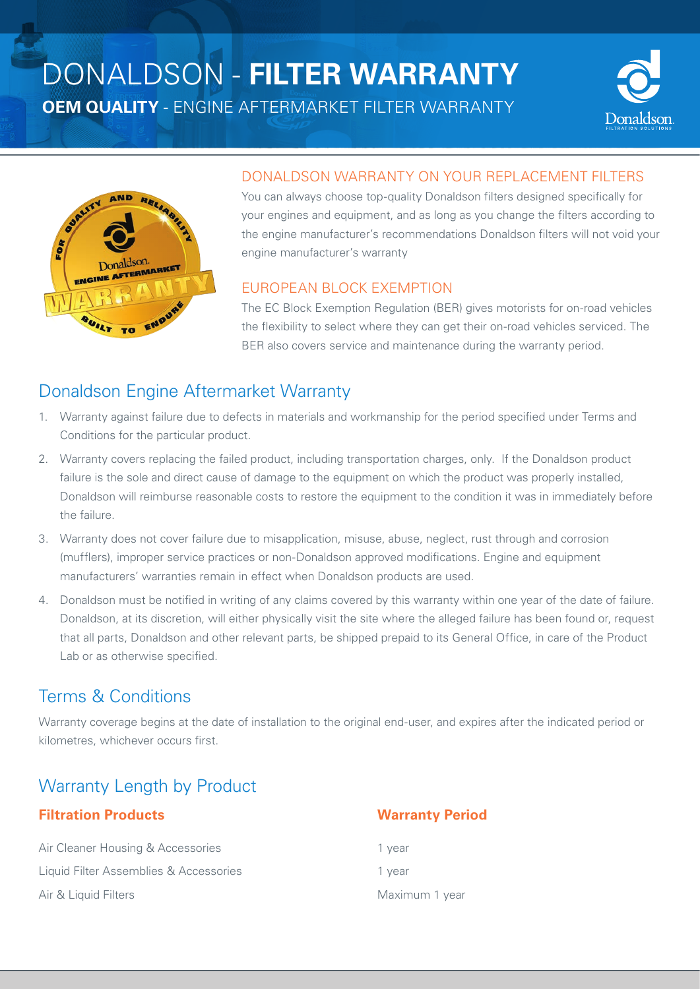# DONALDSON - **FILTER WARRANTY**

**OEM QUALITY** - ENGINE AFTERMARKET FILTER WARRANTY





#### DONALDSON WARRANTY ON YOUR REPLACEMENT FILTERS

You can always choose top-quality Donaldson filters designed specifically for your engines and equipment, and as long as you change the filters according to the engine manufacturer's recommendations Donaldson filters will not void your engine manufacturer's warranty

#### EUROPEAN BLOCK EXEMPTION

The EC Block Exemption Regulation (BER) gives motorists for on-road vehicles the flexibility to select where they can get their on-road vehicles serviced. The BER also covers service and maintenance during the warranty period.

#### Donaldson Engine Aftermarket Warranty

- 1. Warranty against failure due to defects in materials and workmanship for the period specified under Terms and Conditions for the particular product.
- 2. Warranty covers replacing the failed product, including transportation charges, only. If the Donaldson product failure is the sole and direct cause of damage to the equipment on which the product was properly installed, Donaldson will reimburse reasonable costs to restore the equipment to the condition it was in immediately before the failure.
- 3. Warranty does not cover failure due to misapplication, misuse, abuse, neglect, rust through and corrosion (mufflers), improper service practices or non-Donaldson approved modifications. Engine and equipment manufacturers' warranties remain in effect when Donaldson products are used.
- 4. Donaldson must be notified in writing of any claims covered by this warranty within one year of the date of failure. Donaldson, at its discretion, will either physically visit the site where the alleged failure has been found or, request that all parts, Donaldson and other relevant parts, be shipped prepaid to its General Office, in care of the Product Lab or as otherwise specified.

#### Terms & Conditions

Warranty coverage begins at the date of installation to the original end-user, and expires after the indicated period or kilometres, whichever occurs first.

## Warranty Length by Product

#### **Filtration Products** Warranty Period

Air Cleaner Housing & Accessories 1 year Liquid Filter Assemblies & Accessories 1 year Air & Liquid Filters **Maximum 1 year** Maximum 1 year